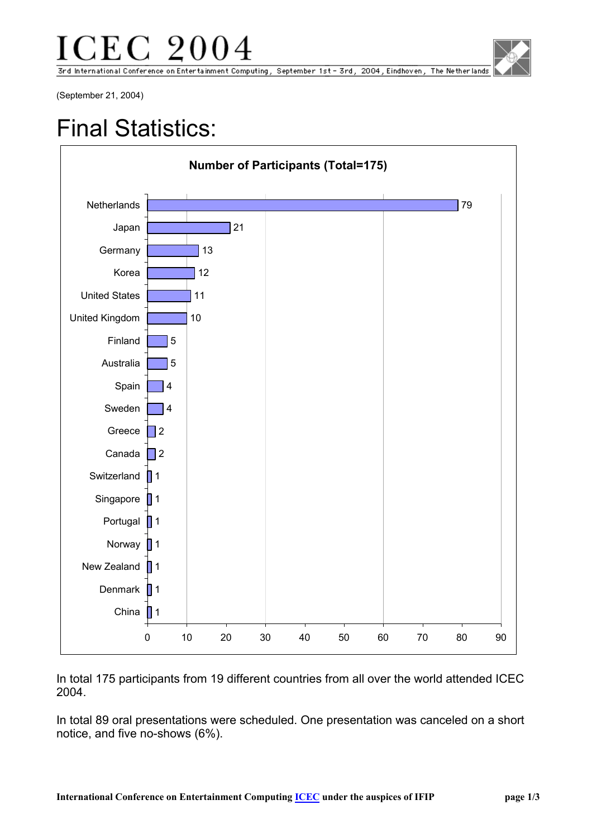# CEC 20

3rd International Conference on Entertainment Computing, September 1st - 3rd, 2004, Eindhoven, The Netherlands

(September 21, 2004)

### Final Statistics:



In total 175 participants from 19 different countries from all over the world attended ICEC 2004.

In total 89 oral presentations were scheduled. One presentation was canceled on a short notice, and five no-shows (6%).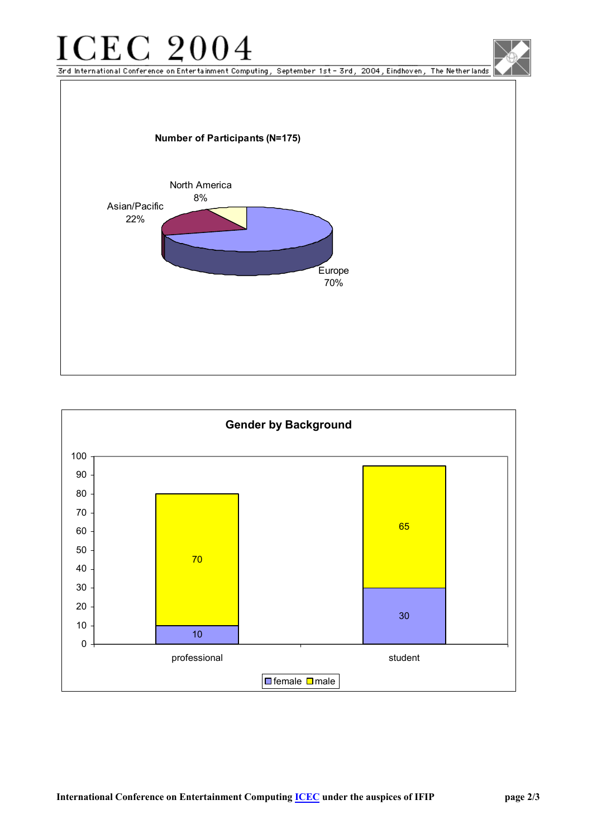### ICEC 20 04

3rd International Conference on Entertainment Computing, September 1st - 3rd, 2004, Eindhoven, The Netherlands